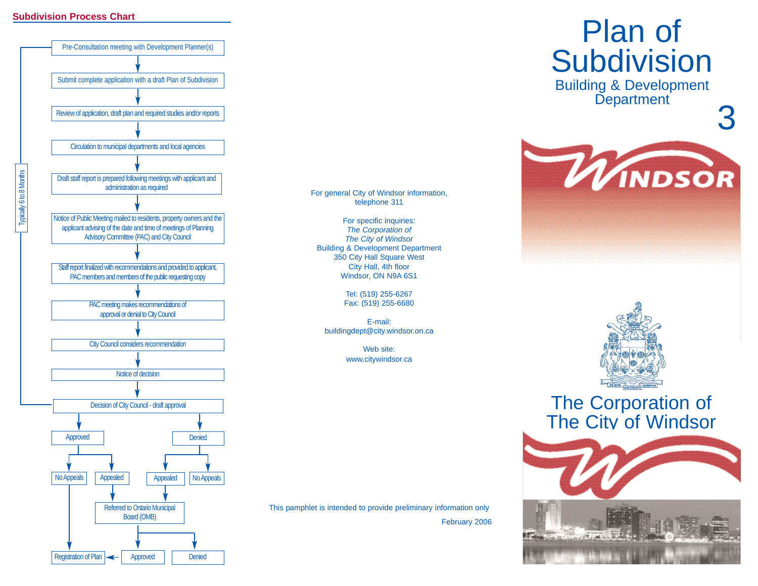#### **Subdivision Process Chart**



# Plan of

Building & Development Department

3



For general City of Windsor information, telephone 311

For specific inquiries: *The Corporation of The City of Windsor* Building & Development Department 350 City Hall Square West City Hall, 4th floor Windsor, ON N9A 6S1

> Tel: (519) 255-6267 Fax: (519) 255-6680

E-mail:buildingdept@city.windsor.on.ca

> Web site:www.citywindsor.ca

This pamphlet is intended to provide preliminary information only February 2006



## The Corporation of The City of Windsor